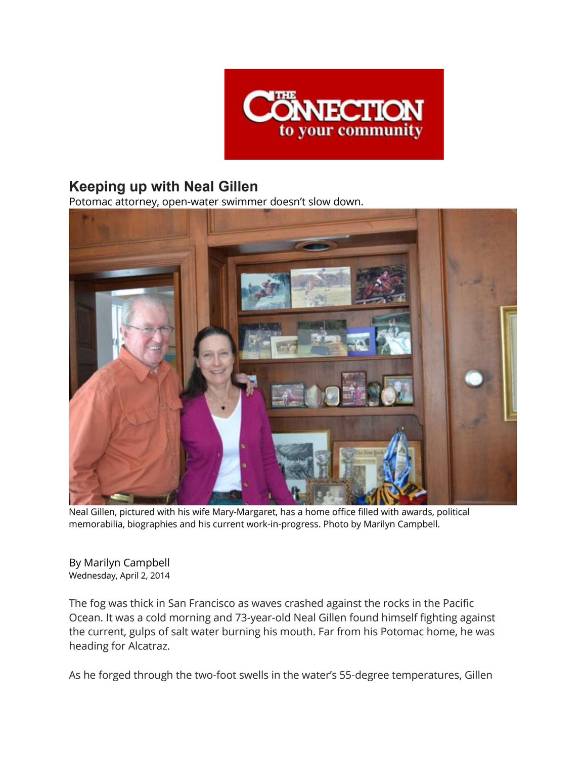

## **Keeping up with Neal Gillen**

Potomac attorney, open-water swimmer doesn't slow down.



Neal Gillen, pictured with his wife Mary-Margaret, has a home office filled with awards, political memorabilia, biographies and his current work-in-progress. Photo by Marilyn Campbell.

By Marilyn Campbell Wednesday, April 2, 2014

The fog was thick in San Francisco as waves crashed against the rocks in the Pacific Ocean. It was a cold morning and 73-year-old Neal Gillen found himself fighting against the current, gulps of salt water burning his mouth. Far from his Potomac home, he was heading for Alcatraz.

As he forged through the two-foot swells in the water's 55-degree temperatures, Gillen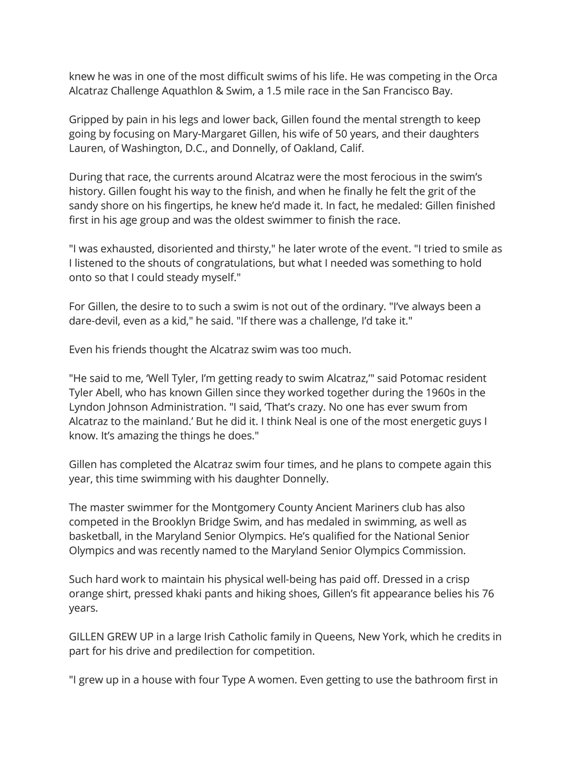knew he was in one of the most difficult swims of his life. He was competing in the Orca Alcatraz Challenge Aquathlon & Swim, a 1.5 mile race in the San Francisco Bay.

Gripped by pain in his legs and lower back, Gillen found the mental strength to keep going by focusing on Mary-Margaret Gillen, his wife of 50 years, and their daughters Lauren, of Washington, D.C., and Donnelly, of Oakland, Calif.

During that race, the currents around Alcatraz were the most ferocious in the swim's history. Gillen fought his way to the finish, and when he finally he felt the grit of the sandy shore on his fingertips, he knew he'd made it. In fact, he medaled: Gillen finished first in his age group and was the oldest swimmer to finish the race.

"I was exhausted, disoriented and thirsty," he later wrote of the event. "I tried to smile as I listened to the shouts of congratulations, but what I needed was something to hold onto so that I could steady myself."

For Gillen, the desire to to such a swim is not out of the ordinary. "I've always been a dare-devil, even as a kid," he said. "If there was a challenge, I'd take it."

Even his friends thought the Alcatraz swim was too much.

"He said to me, 'Well Tyler, I'm getting ready to swim Alcatraz,'" said Potomac resident Tyler Abell, who has known Gillen since they worked together during the 1960s in the Lyndon Johnson Administration. "I said, 'That's crazy. No one has ever swum from Alcatraz to the mainland.' But he did it. I think Neal is one of the most energetic guys I know. It's amazing the things he does."

Gillen has completed the Alcatraz swim four times, and he plans to compete again this year, this time swimming with his daughter Donnelly.

The master swimmer for the Montgomery County Ancient Mariners club has also competed in the Brooklyn Bridge Swim, and has medaled in swimming, as well as basketball, in the Maryland Senior Olympics. He's qualified for the National Senior Olympics and was recently named to the Maryland Senior Olympics Commission.

Such hard work to maintain his physical well-being has paid off. Dressed in a crisp orange shirt, pressed khaki pants and hiking shoes, Gillen's fit appearance belies his 76 years.

GILLEN GREW UP in a large Irish Catholic family in Queens, New York, which he credits in part for his drive and predilection for competition.

"I grew up in a house with four Type A women. Even getting to use the bathroom first in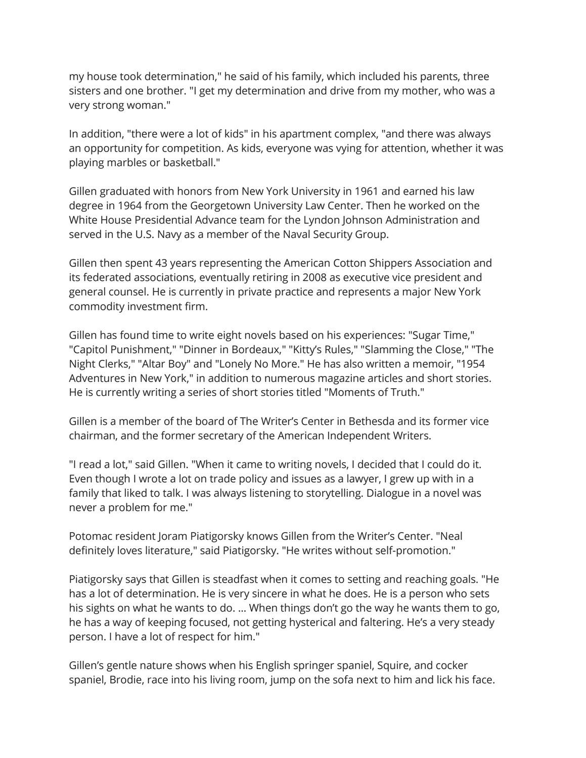my house took determination," he said of his family, which included his parents, three sisters and one brother. "I get my determination and drive from my mother, who was a very strong woman."

In addition, "there were a lot of kids" in his apartment complex, "and there was always an opportunity for competition. As kids, everyone was vying for attention, whether it was playing marbles or basketball."

Gillen graduated with honors from New York University in 1961 and earned his law degree in 1964 from the Georgetown University Law Center. Then he worked on the White House Presidential Advance team for the Lyndon Johnson Administration and served in the U.S. Navy as a member of the Naval Security Group.

Gillen then spent 43 years representing the American Cotton Shippers Association and its federated associations, eventually retiring in 2008 as executive vice president and general counsel. He is currently in private practice and represents a major New York commodity investment firm.

Gillen has found time to write eight novels based on his experiences: "Sugar Time," "Capitol Punishment," "Dinner in Bordeaux," "Kitty's Rules," "Slamming the Close," "The Night Clerks," "Altar Boy" and "Lonely No More." He has also written a memoir, "1954 Adventures in New York," in addition to numerous magazine articles and short stories. He is currently writing a series of short stories titled "Moments of Truth."

Gillen is a member of the board of The Writer's Center in Bethesda and its former vice chairman, and the former secretary of the American Independent Writers.

"I read a lot," said Gillen. "When it came to writing novels, I decided that I could do it. Even though I wrote a lot on trade policy and issues as a lawyer, I grew up with in a family that liked to talk. I was always listening to storytelling. Dialogue in a novel was never a problem for me."

Potomac resident Joram Piatigorsky knows Gillen from the Writer's Center. "Neal definitely loves literature," said Piatigorsky. "He writes without self-promotion."

Piatigorsky says that Gillen is steadfast when it comes to setting and reaching goals. "He has a lot of determination. He is very sincere in what he does. He is a person who sets his sights on what he wants to do. … When things don't go the way he wants them to go, he has a way of keeping focused, not getting hysterical and faltering. He's a very steady person. I have a lot of respect for him."

Gillen's gentle nature shows when his English springer spaniel, Squire, and cocker spaniel, Brodie, race into his living room, jump on the sofa next to him and lick his face.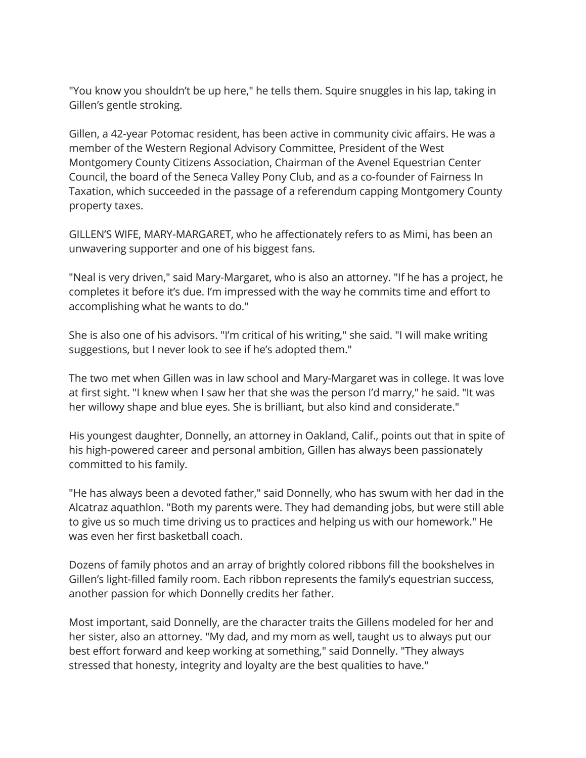"You know you shouldn't be up here," he tells them. Squire snuggles in his lap, taking in Gillen's gentle stroking.

Gillen, a 42-year Potomac resident, has been active in community civic affairs. He was a member of the Western Regional Advisory Committee, President of the West Montgomery County Citizens Association, Chairman of the Avenel Equestrian Center Council, the board of the Seneca Valley Pony Club, and as a co-founder of Fairness In Taxation, which succeeded in the passage of a referendum capping Montgomery County property taxes.

GILLEN'S WIFE, MARY-MARGARET, who he affectionately refers to as Mimi, has been an unwavering supporter and one of his biggest fans.

"Neal is very driven," said Mary-Margaret, who is also an attorney. "If he has a project, he completes it before it's due. I'm impressed with the way he commits time and effort to accomplishing what he wants to do."

She is also one of his advisors. "I'm critical of his writing," she said. "I will make writing suggestions, but I never look to see if he's adopted them."

The two met when Gillen was in law school and Mary-Margaret was in college. It was love at first sight. "I knew when I saw her that she was the person I'd marry," he said. "It was her willowy shape and blue eyes. She is brilliant, but also kind and considerate."

His youngest daughter, Donnelly, an attorney in Oakland, Calif., points out that in spite of his high-powered career and personal ambition, Gillen has always been passionately committed to his family.

"He has always been a devoted father," said Donnelly, who has swum with her dad in the Alcatraz aquathlon. "Both my parents were. They had demanding jobs, but were still able to give us so much time driving us to practices and helping us with our homework." He was even her first basketball coach.

Dozens of family photos and an array of brightly colored ribbons fill the bookshelves in Gillen's light-filled family room. Each ribbon represents the family's equestrian success, another passion for which Donnelly credits her father.

Most important, said Donnelly, are the character traits the Gillens modeled for her and her sister, also an attorney. "My dad, and my mom as well, taught us to always put our best effort forward and keep working at something," said Donnelly. "They always stressed that honesty, integrity and loyalty are the best qualities to have."